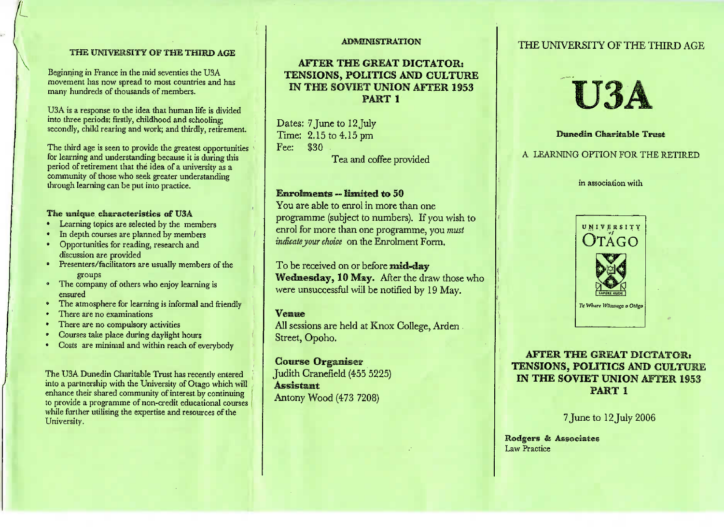#### THE UNIVERSITY OF **THE THIRD AGE**

Beginning in France in the mid seventies the USA movement has now spread to most countries and hasmany hundreds of thousands of members.

USA is a response to the idea that human life is divided into three periods: firstly, childhood and schooling;secondly, child rearing and work; and thirdly, retirement.

The third age is seen to provide the greatest opportunities for **learning** and understanding because it is during thisperiod of retirement that the idea of a university as a community of those who seek greater understandingthrough learning can be put into practice.

# *The* ennqwe **characteristics of USA**

- Learning topics are selected by the members
- In depth courses are planned by members
- Opportunities for reading, research anddiscussion are provided
- • Presenters/facilitators are usually members of thegroups
- The company of others who enjoy learning is**ensured**
- The atmosphere for learning is informal and friendly
- There are no examinations
- There are no compulsory activities
- Courses take place during daylight hours
- Costs are minimal and within reach of everybody

The USA Dunedin Charitable Trust has recently entered into a partnership with the University of Otago which will enhance their shared community of interest by continuing to provide a programme of non-credit educational courseswhile further utilising the expertise and resources of theUniversity.

#### **ADMINISTRATION**

## **AFTER THE GREAT DICTATOR: TENSIONS, POLITICS AND CULTURE IN THE SOVIET** UNION **AFTER 1953PART 1**

Dates: 7 June to 12July Time: 2.15 to 4.15 pmFee: \$30

Tea and coffee provided

### **Enrolments --** limited **to 50**

 You are able to enrol in more than one programme (subject to numbers). If you wish to enrol for more than one programme, you *mustindicate your choice* on the Enrolment Form,

To be received on or before **mid-day Wednesday, 10** May. After the draw those whowere unsuccessful will be notified by 19 May.

#### **Venue**

 All sessions are held at Knox College, ArdenStreet, Opoho.

**Course** Organiser Judith Cranefield (455 5225) AssistantAntony Wood (473 7208)

## THE UNIVERSITY OF THE THIRD AGE



**Dimedin Charitable Trust**

# A LEARNING OPTION FOR THE RETIRED

in association with



# **AFTER THE GREAT DICTATOR: TENSIONS, POLITICS AND CULTURE IN THE SOVIET UNION AFTER 1953**1

7 June to 12 July 2006

**Rodgers** & AssociatesLaw Practice